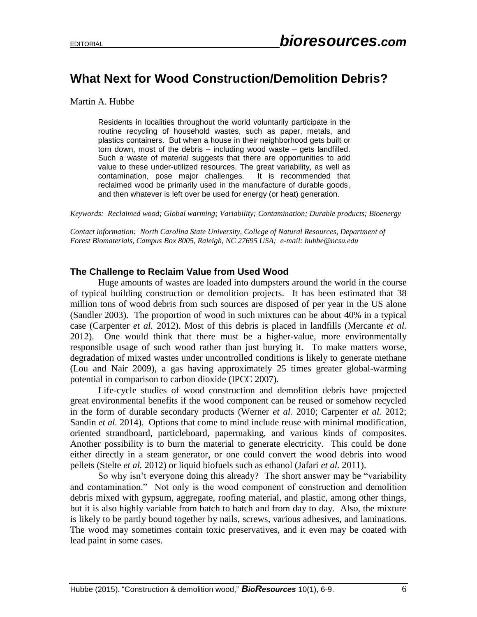# **What Next for Wood Construction/Demolition Debris?**

Martin A. Hubbe

Residents in localities throughout the world voluntarily participate in the routine recycling of household wastes, such as paper, metals, and plastics containers. But when a house in their neighborhood gets built or torn down, most of the debris – including wood waste – gets landfilled. Such a waste of material suggests that there are opportunities to add value to these under-utilized resources. The great variability, as well as contamination, pose major challenges. It is recommended that reclaimed wood be primarily used in the manufacture of durable goods, and then whatever is left over be used for energy (or heat) generation.

*Keywords: Reclaimed wood; Global warming; Variability; Contamination; Durable products; Bioenergy*

*Contact information: North Carolina State University, College of Natural Resources, Department of Forest Biomaterials, Campus Box 8005, Raleigh, NC 27695 USA; e-mail: hubbe@ncsu.edu*

#### **The Challenge to Reclaim Value from Used Wood**

Huge amounts of wastes are loaded into dumpsters around the world in the course of typical building construction or demolition projects. It has been estimated that 38 million tons of wood debris from such sources are disposed of per year in the US alone (Sandler 2003). The proportion of wood in such mixtures can be about 40% in a typical case (Carpenter *et al.* 2012). Most of this debris is placed in landfills (Mercante *et al.* 2012). One would think that there must be a higher-value, more environmentally responsible usage of such wood rather than just burying it. To make matters worse, degradation of mixed wastes under uncontrolled conditions is likely to generate methane (Lou and Nair 2009), a gas having approximately 25 times greater global-warming potential in comparison to carbon dioxide (IPCC 2007).

Life-cycle studies of wood construction and demolition debris have projected great environmental benefits if the wood component can be reused or somehow recycled in the form of durable secondary products (Werner *et al.* 2010; Carpenter *et al.* 2012; Sandin *et al.* 2014). Options that come to mind include reuse with minimal modification, oriented strandboard, particleboard, papermaking, and various kinds of composites. Another possibility is to burn the material to generate electricity. This could be done either directly in a steam generator, or one could convert the wood debris into wood pellets (Stelte *et al.* 2012) or liquid biofuels such as ethanol (Jafari *et al.* 2011).

So why isn't everyone doing this already? The short answer may be "variability and contamination." Not only is the wood component of construction and demolition debris mixed with gypsum, aggregate, roofing material, and plastic, among other things, but it is also highly variable from batch to batch and from day to day. Also, the mixture is likely to be partly bound together by nails, screws, various adhesives, and laminations. The wood may sometimes contain toxic preservatives, and it even may be coated with lead paint in some cases.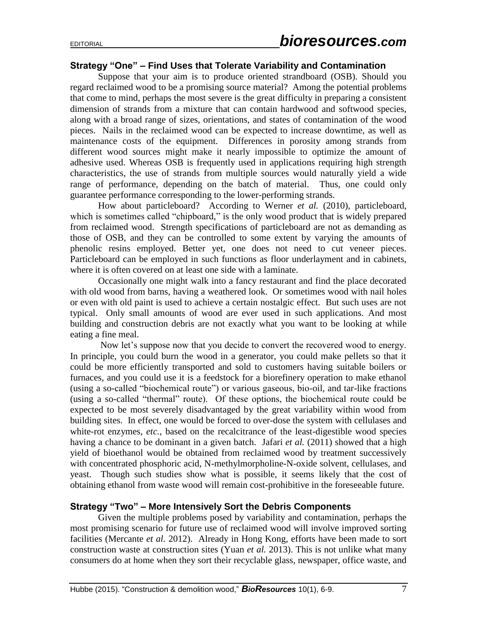## **Strategy "One" – Find Uses that Tolerate Variability and Contamination**

Suppose that your aim is to produce oriented strandboard (OSB). Should you regard reclaimed wood to be a promising source material? Among the potential problems that come to mind, perhaps the most severe is the great difficulty in preparing a consistent dimension of strands from a mixture that can contain hardwood and softwood species, along with a broad range of sizes, orientations, and states of contamination of the wood pieces. Nails in the reclaimed wood can be expected to increase downtime, as well as maintenance costs of the equipment. Differences in porosity among strands from different wood sources might make it nearly impossible to optimize the amount of adhesive used. Whereas OSB is frequently used in applications requiring high strength characteristics, the use of strands from multiple sources would naturally yield a wide range of performance, depending on the batch of material. Thus, one could only guarantee performance corresponding to the lower-performing strands.

How about particleboard? According to Werner *et al.* (2010), particleboard, which is sometimes called "chipboard," is the only wood product that is widely prepared from reclaimed wood. Strength specifications of particleboard are not as demanding as those of OSB, and they can be controlled to some extent by varying the amounts of phenolic resins employed. Better yet, one does not need to cut veneer pieces. Particleboard can be employed in such functions as floor underlayment and in cabinets, where it is often covered on at least one side with a laminate.

Occasionally one might walk into a fancy restaurant and find the place decorated with old wood from barns, having a weathered look. Or sometimes wood with nail holes or even with old paint is used to achieve a certain nostalgic effect. But such uses are not typical. Only small amounts of wood are ever used in such applications. And most building and construction debris are not exactly what you want to be looking at while eating a fine meal.

Now let's suppose now that you decide to convert the recovered wood to energy. In principle, you could burn the wood in a generator, you could make pellets so that it could be more efficiently transported and sold to customers having suitable boilers or furnaces, and you could use it is a feedstock for a biorefinery operation to make ethanol (using a so-called "biochemical route") or various gaseous, bio-oil, and tar-like fractions (using a so-called "thermal" route). Of these options, the biochemical route could be expected to be most severely disadvantaged by the great variability within wood from building sites. In effect, one would be forced to over-dose the system with cellulases and white-rot enzymes, *etc.*, based on the recalcitrance of the least-digestible wood species having a chance to be dominant in a given batch. Jafari *et al.* (2011) showed that a high yield of bioethanol would be obtained from reclaimed wood by treatment successively with concentrated phosphoric acid, N-methylmorpholine-N-oxide solvent, cellulases, and yeast. Though such studies show what is possible, it seems likely that the cost of obtaining ethanol from waste wood will remain cost-prohibitive in the foreseeable future.

## **Strategy "Two" – More Intensively Sort the Debris Components**

Given the multiple problems posed by variability and contamination, perhaps the most promising scenario for future use of reclaimed wood will involve improved sorting facilities (Mercante *et al.* 2012). Already in Hong Kong, efforts have been made to sort construction waste at construction sites (Yuan *et al.* 2013). This is not unlike what many consumers do at home when they sort their recyclable glass, newspaper, office waste, and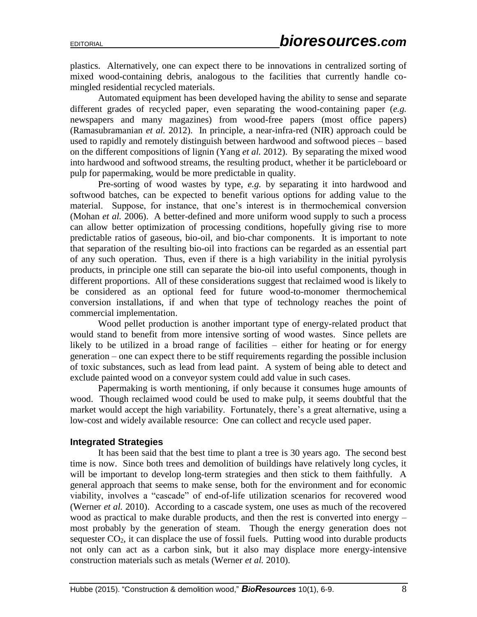plastics. Alternatively, one can expect there to be innovations in centralized sorting of mixed wood-containing debris, analogous to the facilities that currently handle comingled residential recycled materials.

Automated equipment has been developed having the ability to sense and separate different grades of recycled paper, even separating the wood-containing paper (*e.g.* newspapers and many magazines) from wood-free papers (most office papers) (Ramasubramanian *et al.* 2012). In principle, a near-infra-red (NIR) approach could be used to rapidly and remotely distinguish between hardwood and softwood pieces – based on the different compositions of lignin (Yang *et al.* 2012). By separating the mixed wood into hardwood and softwood streams, the resulting product, whether it be particleboard or pulp for papermaking, would be more predictable in quality.

Pre-sorting of wood wastes by type, *e.g.* by separating it into hardwood and softwood batches, can be expected to benefit various options for adding value to the material. Suppose, for instance, that one's interest is in thermochemical conversion (Mohan *et al.* 2006). A better-defined and more uniform wood supply to such a process can allow better optimization of processing conditions, hopefully giving rise to more predictable ratios of gaseous, bio-oil, and bio-char components. It is important to note that separation of the resulting bio-oil into fractions can be regarded as an essential part of any such operation. Thus, even if there is a high variability in the initial pyrolysis products, in principle one still can separate the bio-oil into useful components, though in different proportions. All of these considerations suggest that reclaimed wood is likely to be considered as an optional feed for future wood-to-monomer thermochemical conversion installations, if and when that type of technology reaches the point of commercial implementation.

Wood pellet production is another important type of energy-related product that would stand to benefit from more intensive sorting of wood wastes. Since pellets are likely to be utilized in a broad range of facilities – either for heating or for energy generation – one can expect there to be stiff requirements regarding the possible inclusion of toxic substances, such as lead from lead paint. A system of being able to detect and exclude painted wood on a conveyor system could add value in such cases.

Papermaking is worth mentioning, if only because it consumes huge amounts of wood. Though reclaimed wood could be used to make pulp, it seems doubtful that the market would accept the high variability. Fortunately, there's a great alternative, using a low-cost and widely available resource: One can collect and recycle used paper.

#### **Integrated Strategies**

It has been said that the best time to plant a tree is 30 years ago. The second best time is now. Since both trees and demolition of buildings have relatively long cycles, it will be important to develop long-term strategies and then stick to them faithfully. A general approach that seems to make sense, both for the environment and for economic viability, involves a "cascade" of end-of-life utilization scenarios for recovered wood (Werner *et al.* 2010). According to a cascade system, one uses as much of the recovered wood as practical to make durable products, and then the rest is converted into energy – most probably by the generation of steam. Though the energy generation does not sequester  $CO<sub>2</sub>$ , it can displace the use of fossil fuels. Putting wood into durable products not only can act as a carbon sink, but it also may displace more energy-intensive construction materials such as metals (Werner *et al.* 2010).